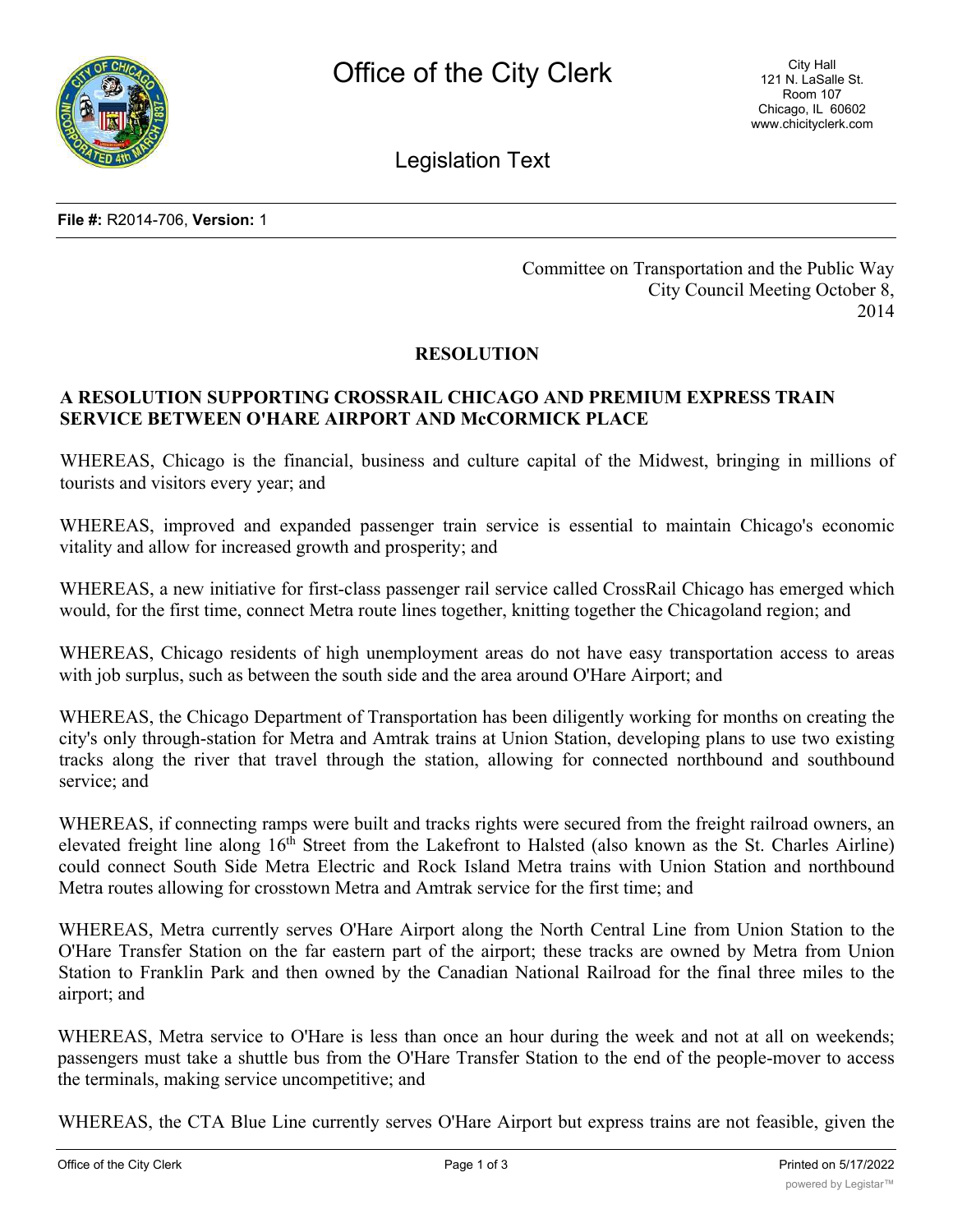

Legislation Text

Committee on Transportation and the Public Way City Council Meeting October 8, 2014

## **RESOLUTION**

## **A RESOLUTION SUPPORTING CROSSRAIL CHICAGO AND PREMIUM EXPRESS TRAIN SERVICE BETWEEN O'HARE AIRPORT AND McCORMICK PLACE**

WHEREAS, Chicago is the financial, business and culture capital of the Midwest, bringing in millions of tourists and visitors every year; and

WHEREAS, improved and expanded passenger train service is essential to maintain Chicago's economic vitality and allow for increased growth and prosperity; and

WHEREAS, a new initiative for first-class passenger rail service called CrossRail Chicago has emerged which would, for the first time, connect Metra route lines together, knitting together the Chicagoland region; and

WHEREAS, Chicago residents of high unemployment areas do not have easy transportation access to areas with job surplus, such as between the south side and the area around O'Hare Airport; and

WHEREAS, the Chicago Department of Transportation has been diligently working for months on creating the city's only through-station for Metra and Amtrak trains at Union Station, developing plans to use two existing tracks along the river that travel through the station, allowing for connected northbound and southbound service; and

WHEREAS, if connecting ramps were built and tracks rights were secured from the freight railroad owners, an elevated freight line along 16<sup>th</sup> Street from the Lakefront to Halsted (also known as the St. Charles Airline) could connect South Side Metra Electric and Rock Island Metra trains with Union Station and northbound Metra routes allowing for crosstown Metra and Amtrak service for the first time; and

WHEREAS, Metra currently serves O'Hare Airport along the North Central Line from Union Station to the O'Hare Transfer Station on the far eastern part of the airport; these tracks are owned by Metra from Union Station to Franklin Park and then owned by the Canadian National Railroad for the final three miles to the airport; and

WHEREAS, Metra service to O'Hare is less than once an hour during the week and not at all on weekends; passengers must take a shuttle bus from the O'Hare Transfer Station to the end of the people-mover to access the terminals, making service uncompetitive; and

WHEREAS, the CTA Blue Line currently serves O'Hare Airport but express trains are not feasible, given the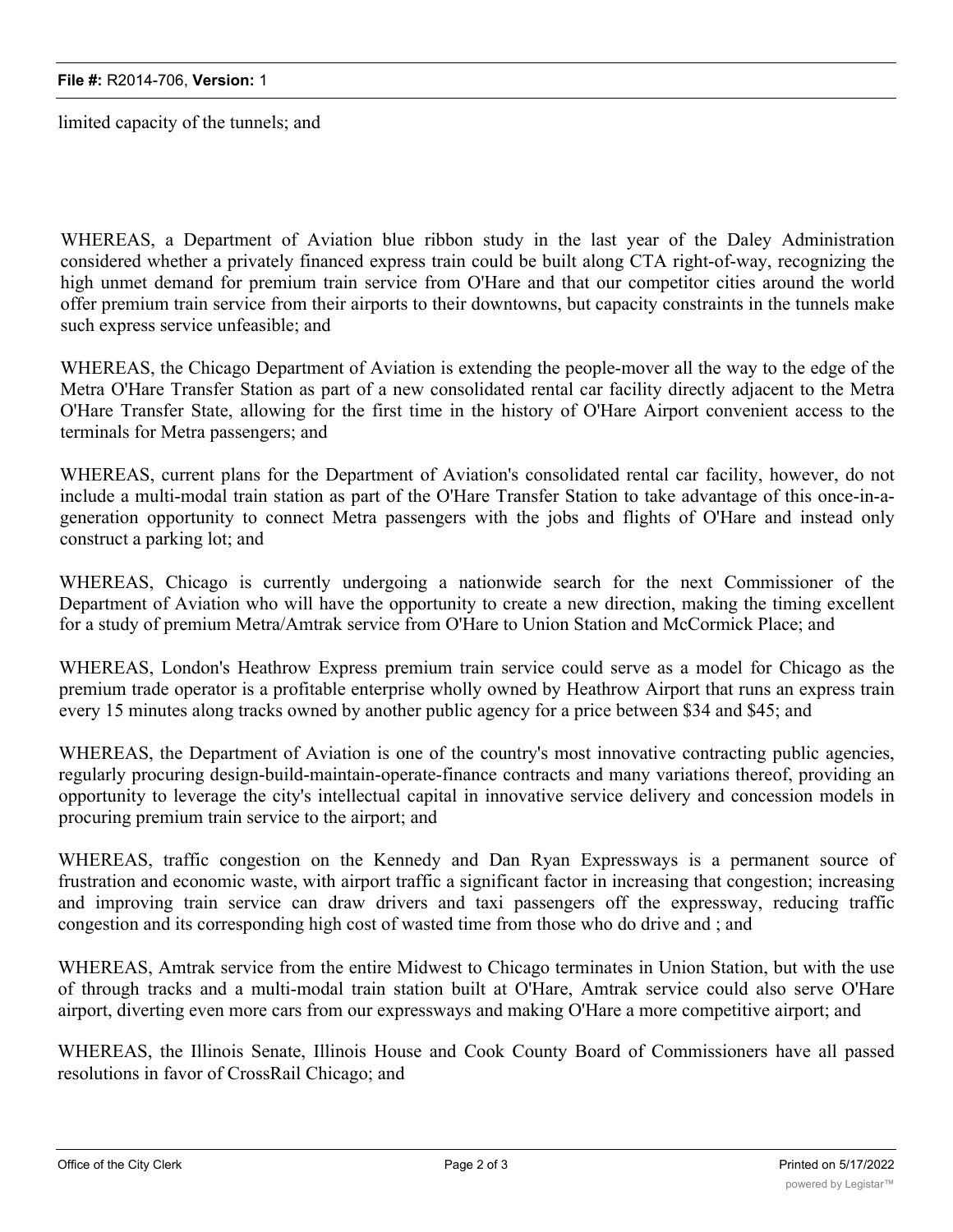limited capacity of the tunnels; and

WHEREAS, a Department of Aviation blue ribbon study in the last year of the Daley Administration considered whether a privately financed express train could be built along CTA right-of-way, recognizing the high unmet demand for premium train service from O'Hare and that our competitor cities around the world offer premium train service from their airports to their downtowns, but capacity constraints in the tunnels make such express service unfeasible; and

WHEREAS, the Chicago Department of Aviation is extending the people-mover all the way to the edge of the Metra O'Hare Transfer Station as part of a new consolidated rental car facility directly adjacent to the Metra O'Hare Transfer State, allowing for the first time in the history of O'Hare Airport convenient access to the terminals for Metra passengers; and

WHEREAS, current plans for the Department of Aviation's consolidated rental car facility, however, do not include a multi-modal train station as part of the O'Hare Transfer Station to take advantage of this once-in-ageneration opportunity to connect Metra passengers with the jobs and flights of O'Hare and instead only construct a parking lot; and

WHEREAS, Chicago is currently undergoing a nationwide search for the next Commissioner of the Department of Aviation who will have the opportunity to create a new direction, making the timing excellent for a study of premium Metra/Amtrak service from O'Hare to Union Station and McCormick Place; and

WHEREAS, London's Heathrow Express premium train service could serve as a model for Chicago as the premium trade operator is a profitable enterprise wholly owned by Heathrow Airport that runs an express train every 15 minutes along tracks owned by another public agency for a price between \$34 and \$45; and

WHEREAS, the Department of Aviation is one of the country's most innovative contracting public agencies, regularly procuring design-build-maintain-operate-finance contracts and many variations thereof, providing an opportunity to leverage the city's intellectual capital in innovative service delivery and concession models in procuring premium train service to the airport; and

WHEREAS, traffic congestion on the Kennedy and Dan Ryan Expressways is a permanent source of frustration and economic waste, with airport traffic a significant factor in increasing that congestion; increasing and improving train service can draw drivers and taxi passengers off the expressway, reducing traffic congestion and its corresponding high cost of wasted time from those who do drive and ; and

WHEREAS, Amtrak service from the entire Midwest to Chicago terminates in Union Station, but with the use of through tracks and a multi-modal train station built at O'Hare, Amtrak service could also serve O'Hare airport, diverting even more cars from our expressways and making O'Hare a more competitive airport; and

WHEREAS, the Illinois Senate, Illinois House and Cook County Board of Commissioners have all passed resolutions in favor of CrossRail Chicago; and